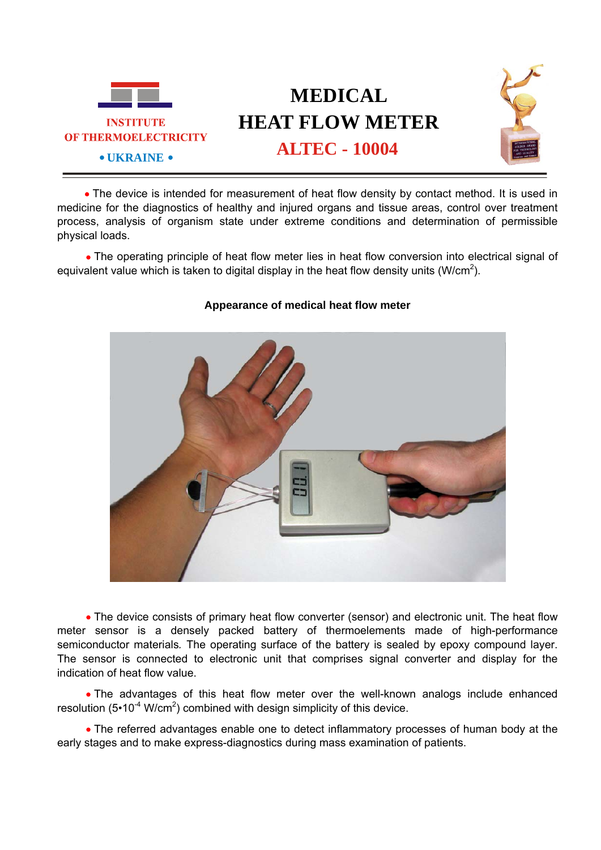

## **MEDICAL HEAT FLOW METER ALTEC - 10004**



• The device is intended for measurement of heat flow density by contact method. It is used in medicine for the diagnostics of healthy and injured organs and tissue areas, control over treatment process, analysis of organism state under extreme conditions and determination of permissible physical loads.

• The operating principle of heat flow meter lies in heat flow conversion into electrical signal of equivalent value which is taken to digital display in the heat flow density units (W/cm<sup>2</sup>).



## **Appearance of medical heat flow meter**

• The device consists of primary heat flow converter (sensor) and electronic unit. The heat flow meter sensor is a densely packed battery of thermoelements made of high-performance semiconductor materials*.* The operating surface of the battery is sealed by epoxy compound layer. The sensor is connected to electronic unit that comprises signal converter and display for the indication of heat flow value.

• The advantages of this heat flow meter over the well-known analogs include enhanced resolution (5•10<sup>-4</sup> W/cm<sup>2</sup>) combined with design simplicity of this device.

• The referred advantages enable one to detect inflammatory processes of human body at the early stages and to make express-diagnostics during mass examination of patients.